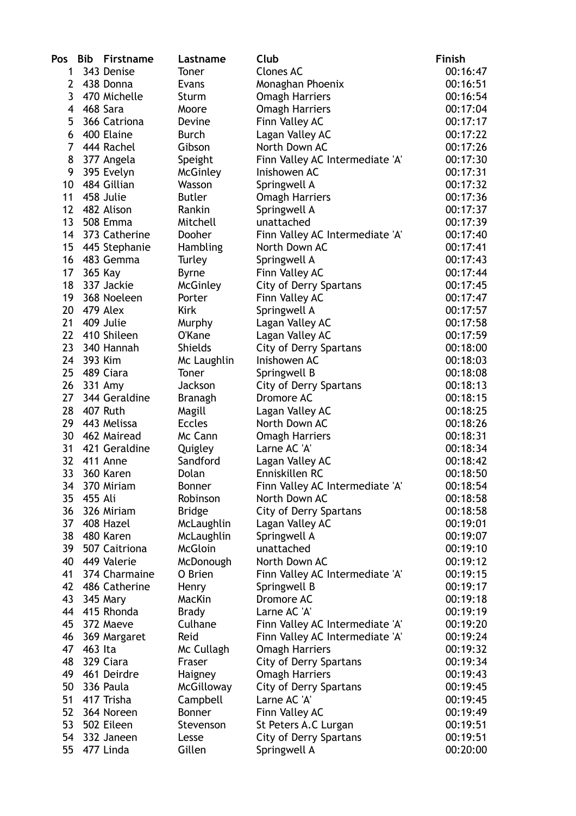| Pos             | <b>Bib</b> | Firstname       | Lastname        | Club                            | <b>Finish</b> |
|-----------------|------------|-----------------|-----------------|---------------------------------|---------------|
| 1               |            | 343 Denise      | Toner           | <b>Clones AC</b>                | 00:16:47      |
| 2               |            | 438 Donna       | Evans           | Monaghan Phoenix                | 00:16:51      |
| 3               |            | 470 Michelle    | Sturm           | <b>Omagh Harriers</b>           | 00:16:54      |
| 4               |            | 468 Sara        | Moore           | <b>Omagh Harriers</b>           | 00:17:04      |
| 5               |            | 366 Catriona    | Devine          | Finn Valley AC                  | 00:17:17      |
| 6               |            | 400 Elaine      | <b>Burch</b>    | Lagan Valley AC                 | 00:17:22      |
| $\overline{7}$  |            | 444 Rachel      | Gibson          | North Down AC                   | 00:17:26      |
| 8               |            | 377 Angela      | Speight         | Finn Valley AC Intermediate 'A' | 00:17:30      |
| 9               |            | 395 Evelyn      | <b>McGinley</b> | Inishowen AC                    | 00:17:31      |
| 10              |            | 484 Gillian     | Wasson          | Springwell A                    | 00:17:32      |
| 11              |            | 458 Julie       | <b>Butler</b>   | <b>Omagh Harriers</b>           | 00:17:36      |
| 12              |            | 482 Alison      | Rankin          | Springwell A                    | 00:17:37      |
| 13              |            | <b>508 Emma</b> | Mitchell        | unattached                      | 00:17:39      |
| 14              |            | 373 Catherine   | Dooher          |                                 | 00:17:40      |
|                 |            |                 |                 | Finn Valley AC Intermediate 'A' |               |
| 15              |            | 445 Stephanie   | Hambling        | North Down AC                   | 00:17:41      |
| 16              |            | 483 Gemma       | Turley          | Springwell A                    | 00:17:43      |
| 17              |            | 365 Kay         | <b>Byrne</b>    | Finn Valley AC                  | 00:17:44      |
| 18              |            | 337 Jackie      | <b>McGinley</b> | <b>City of Derry Spartans</b>   | 00:17:45      |
| 19              |            | 368 Noeleen     | Porter          | Finn Valley AC                  | 00:17:47      |
| 20              |            | 479 Alex        | <b>Kirk</b>     | Springwell A                    | 00:17:57      |
| 21              |            | 409 Julie       | Murphy          | Lagan Valley AC                 | 00:17:58      |
| 22              |            | 410 Shileen     | O'Kane          | Lagan Valley AC                 | 00:17:59      |
| 23              |            | 340 Hannah      | <b>Shields</b>  | City of Derry Spartans          | 00:18:00      |
| 24              |            | 393 Kim         | Mc Laughlin     | Inishowen AC                    | 00:18:03      |
| 25              |            | 489 Ciara       | Toner           | Springwell B                    | 00:18:08      |
| 26              |            | 331 Amy         | Jackson         | <b>City of Derry Spartans</b>   | 00:18:13      |
| 27              |            | 344 Geraldine   | <b>Branagh</b>  | Dromore AC                      | 00:18:15      |
| 28              |            | 407 Ruth        | Magill          | Lagan Valley AC                 | 00:18:25      |
| 29              |            | 443 Melissa     | <b>Eccles</b>   | North Down AC                   | 00:18:26      |
| 30              |            | 462 Mairead     | Mc Cann         | <b>Omagh Harriers</b>           | 00:18:31      |
| 31              |            | 421 Geraldine   | Quigley         | Larne AC 'A'                    | 00:18:34      |
| 32              |            | 411 Anne        | Sandford        | Lagan Valley AC                 | 00:18:42      |
| 33              |            | 360 Karen       | Dolan           | Enniskillen RC                  | 00:18:50      |
| 34              |            | 370 Miriam      | <b>Bonner</b>   | Finn Valley AC Intermediate 'A' | 00:18:54      |
| 35              | 455 Ali    |                 | Robinson        | North Down AC                   | 00:18:58      |
| 36              |            | 326 Miriam      | <b>Bridge</b>   | <b>City of Derry Spartans</b>   | 00:18:58      |
| 37 <sup>2</sup> |            | 408 Hazel       | McLaughlin      | Lagan Valley AC                 | 00:19:01      |
| 38              |            | 480 Karen       | McLaughlin      | Springwell A                    | 00:19:07      |
| 39              |            | 507 Caitriona   | <b>McGloin</b>  | unattached                      | 00:19:10      |
| 40              |            | 449 Valerie     | McDonough       | North Down AC                   | 00:19:12      |
| 41              |            | 374 Charmaine   | O Brien         | Finn Valley AC Intermediate 'A' | 00:19:15      |
| 42              |            | 486 Catherine   | Henry           | Springwell B                    | 00:19:17      |
| 43              |            | 345 Mary        | MacKin          | Dromore AC                      | 00:19:18      |
| 44              |            | 415 Rhonda      | <b>Brady</b>    | Larne AC 'A'                    | 00:19:19      |
| 45              |            | 372 Maeve       | Culhane         | Finn Valley AC Intermediate 'A' | 00:19:20      |
| 46              |            |                 | Reid            | Finn Valley AC Intermediate 'A' | 00:19:24      |
| 47              | 463 Ita    | 369 Margaret    |                 |                                 | 00:19:32      |
|                 |            |                 | Mc Cullagh      | <b>Omagh Harriers</b>           |               |
| 48              |            | 329 Ciara       | Fraser          | <b>City of Derry Spartans</b>   | 00:19:34      |
| 49              |            | 461 Deirdre     | Haigney         | <b>Omagh Harriers</b>           | 00:19:43      |
| 50              |            | 336 Paula       | McGilloway      | City of Derry Spartans          | 00:19:45      |
| 51              |            | 417 Trisha      | Campbell        | Larne AC 'A'                    | 00:19:45      |
| 52              |            | 364 Noreen      | Bonner          | Finn Valley AC                  | 00:19:49      |
| 53              |            | 502 Eileen      | Stevenson       | St Peters A.C Lurgan            | 00:19:51      |
| 54              |            | 332 Janeen      | Lesse           | <b>City of Derry Spartans</b>   | 00:19:51      |
| 55              |            | 477 Linda       | Gillen          | Springwell A                    | 00:20:00      |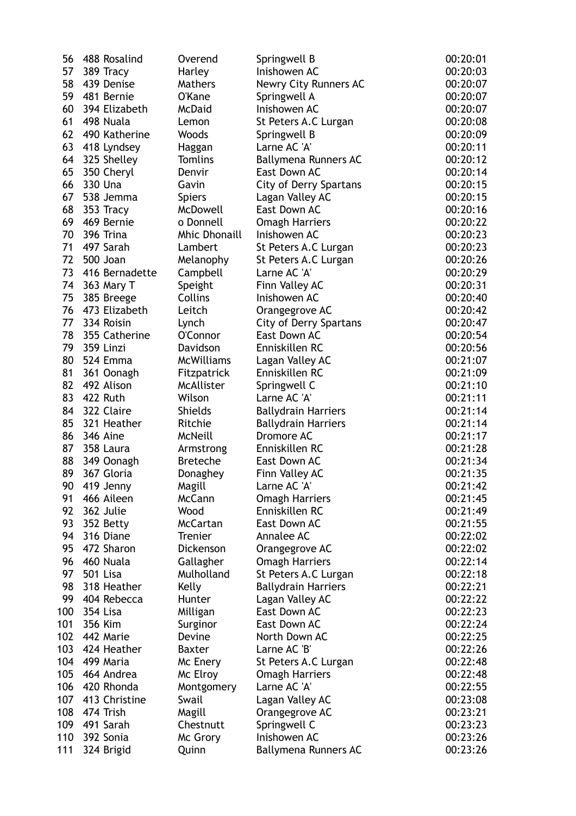| 56  | 488 Rosalind           | Overend                   | Springwell B                             | 00:20:01 |
|-----|------------------------|---------------------------|------------------------------------------|----------|
| 57  | 389 Tracy              | Harley                    | Inishowen AC                             | 00:20:03 |
| 58  | 439 Denise             | Mathers                   | <b>Newry City Runners AC</b>             | 00:20:07 |
| 59  | 481 Bernie             | <b>O'Kane</b>             | Springwell A                             | 00:20:07 |
| 60  | 394 Elizabeth          | McDaid                    | Inishowen AC                             | 00:20:07 |
| 61  | 498 Nuala              | Lemon                     | St Peters A.C Lurgan                     | 00:20:08 |
| 62  | 490 Katherine          | Woods                     | Springwell B                             | 00:20:09 |
| 63  | 418 Lyndsey            | Haggan                    | Larne AC 'A'                             | 00:20:11 |
| 64  | 325 Shelley            | <b>Tomlins</b>            | <b>Ballymena Runners AC</b>              | 00:20:12 |
| 65  | 350 Cheryl             | Denvir                    | East Down AC                             | 00:20:14 |
| 66  | 330 Una                | Gavin                     | <b>City of Derry Spartans</b>            | 00:20:15 |
| 67  | 538 Jemma              | <b>Spiers</b>             | Lagan Valley AC                          | 00:20:15 |
| 68  | 353 Tracy              | McDowell                  | East Down AC                             | 00:20:16 |
| 69  | 469 Bernie             | o Donnell                 | <b>Omagh Harriers</b>                    | 00:20:22 |
| 70  | 396 Trina              | <b>Mhic Dhonaill</b>      | Inishowen AC                             | 00:20:23 |
| 71  | 497 Sarah              | Lambert                   | St Peters A.C Lurgan                     | 00:20:23 |
| 72  | 500 Joan               | Melanophy                 | St Peters A.C Lurgan                     | 00:20:26 |
| 73  | 416 Bernadette         | Campbell                  | Larne AC 'A'                             | 00:20:29 |
| 74  | 363 Mary T             | Speight                   | Finn Valley AC                           | 00:20:31 |
| 75  | 385 Breege             | <b>Collins</b>            | Inishowen AC                             | 00:20:40 |
| 76  | 473 Elizabeth          | Leitch                    | Orangegrove AC                           | 00:20:42 |
| 77  | 334 Roisin             |                           | <b>City of Derry Spartans</b>            | 00:20:47 |
| 78  | 355 Catherine          | Lynch<br>O'Connor         | East Down AC                             | 00:20:54 |
| 79  | 359 Linzi              | Davidson                  | Enniskillen RC                           | 00:20:56 |
| 80  | 524 Emma               | <b>McWilliams</b>         |                                          | 00:21:07 |
| 81  | 361 Oonagh             |                           | Lagan Valley AC<br>Enniskillen RC        | 00:21:09 |
| 82  | 492 Alison             | Fitzpatrick<br>McAllister |                                          | 00:21:10 |
| 83  | 422 Ruth               | Wilson                    | Springwell C<br>Larne AC 'A'             | 00:21:11 |
| 84  | 322 Claire             | <b>Shields</b>            |                                          | 00:21:14 |
| 85  | 321 Heather            | Ritchie                   | <b>Ballydrain Harriers</b>               | 00:21:14 |
| 86  | 346 Aine               | McNeill                   | <b>Ballydrain Harriers</b><br>Dromore AC | 00:21:17 |
| 87  | 358 Laura              | Armstrong                 | Enniskillen RC                           | 00:21:28 |
| 88  | 349 Oonagh             | <b>Breteche</b>           | East Down AC                             | 00:21:34 |
| 89  | 367 Gloria             | Donaghey                  | Finn Valley AC                           | 00:21:35 |
| 90  | 419 Jenny              | Magill                    | Larne AC 'A'                             | 00:21:42 |
| 91  | 466 Aileen             | McCann                    | <b>Omagh Harriers</b>                    | 00:21:45 |
| 92  | 362 Julie              | Wood                      | Enniskillen RC                           | 00:21:49 |
| 93  |                        | McCartan                  | East Down AC                             | 00:21:55 |
| 94  | 352 Betty<br>316 Diane |                           |                                          |          |
| 95  | 472 Sharon             | Trenier<br>Dickenson      | Annalee AC                               | 00:22:02 |
| 96  |                        |                           | Orangegrove AC                           | 00:22:02 |
| 97  | 460 Nuala              | Gallagher                 | <b>Omagh Harriers</b>                    | 00:22:14 |
|     | 501 Lisa               | Mulholland                | St Peters A.C Lurgan                     | 00:22:18 |
| 98  | 318 Heather            | Kelly                     | <b>Ballydrain Harriers</b>               | 00:22:21 |
| 99  | 404 Rebecca            | Hunter                    | Lagan Valley AC                          | 00:22:22 |
| 100 | 354 Lisa               | Milligan                  | East Down AC                             | 00:22:23 |
| 101 | 356 Kim                | Surginor                  | East Down AC                             | 00:22:24 |
| 102 | 442 Marie              | Devine                    | North Down AC                            | 00:22:25 |
| 103 | 424 Heather            | <b>Baxter</b>             | Larne AC 'B'                             | 00:22:26 |
| 104 | 499 Maria              | Mc Enery                  | St Peters A.C Lurgan                     | 00:22:48 |
| 105 | 464 Andrea             | Mc Elroy                  | <b>Omagh Harriers</b>                    | 00:22:48 |
| 106 | 420 Rhonda             | Montgomery                | Larne AC 'A'                             | 00:22:55 |
| 107 | 413 Christine          | Swail                     | Lagan Valley AC                          | 00:23:08 |
| 108 | 474 Trish              | Magill                    | Orangegrove AC                           | 00:23:21 |
| 109 | 491 Sarah              | Chestnutt                 | Springwell C                             | 00:23:23 |
| 110 | 392 Sonia              | Mc Grory                  | Inishowen AC                             | 00:23:26 |
| 111 | 324 Brigid             | Quinn                     | <b>Ballymena Runners AC</b>              | 00:23:26 |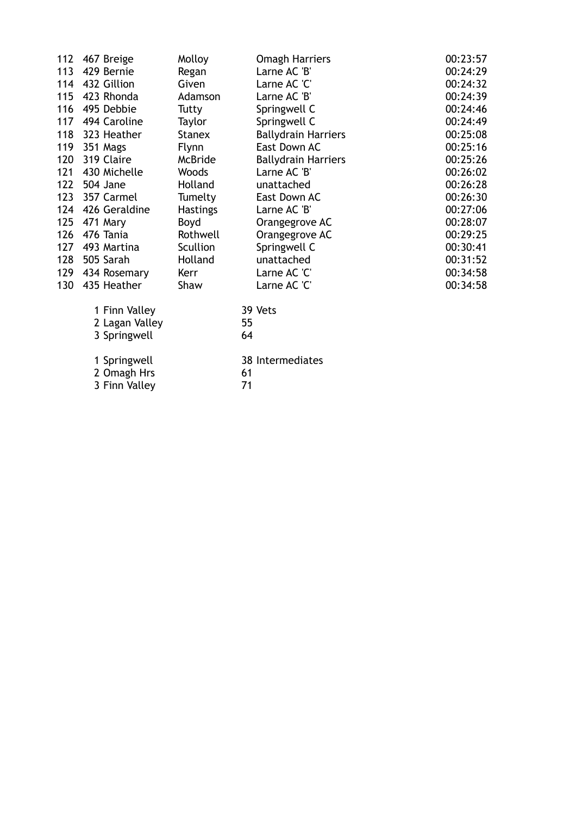| 112 | 467 Breige     | Molloy          | <b>Omagh Harriers</b>      | 00:23:57 |
|-----|----------------|-----------------|----------------------------|----------|
| 113 | 429 Bernie     | Regan           | Larne AC 'B'               | 00:24:29 |
| 114 | 432 Gillion    | Given           | Larne AC 'C'               | 00:24:32 |
| 115 | 423 Rhonda     | Adamson         | Larne AC 'B'               | 00:24:39 |
| 116 | 495 Debbie     | Tutty           | Springwell C               | 00:24:46 |
| 117 | 494 Caroline   | Taylor          | Springwell C               | 00:24:49 |
| 118 | 323 Heather    | <b>Stanex</b>   | <b>Ballydrain Harriers</b> | 00:25:08 |
| 119 | 351 Mags       | <b>Flynn</b>    | East Down AC               | 00:25:16 |
| 120 | 319 Claire     | <b>McBride</b>  | <b>Ballydrain Harriers</b> | 00:25:26 |
| 121 | 430 Michelle   | Woods           | Larne AC 'B'               | 00:26:02 |
| 122 | 504 Jane       | Holland         | unattached                 | 00:26:28 |
| 123 | 357 Carmel     | Tumelty         | East Down AC               | 00:26:30 |
| 124 | 426 Geraldine  | <b>Hastings</b> | Larne AC 'B'               | 00:27:06 |
| 125 | 471 Mary       | Boyd            | Orangegrove AC             | 00:28:07 |
| 126 | 476 Tania      | Rothwell        | Orangegrove AC             | 00:29:25 |
| 127 | 493 Martina    | Scullion        | Springwell C               | 00:30:41 |
| 128 | 505 Sarah      | Holland         | unattached                 | 00:31:52 |
| 129 | 434 Rosemary   | Kerr            | Larne AC 'C'               | 00:34:58 |
| 130 | 435 Heather    | Shaw            | Larne AC 'C'               | 00:34:58 |
|     | 1 Finn Valley  |                 | 39 Vets                    |          |
|     | 2 Lagan Valley |                 | 55                         |          |
|     | 3 Springwell   |                 | 64                         |          |
|     | 1 Springwell   |                 | 38 Intermediates           |          |
|     | 2 Omagh Hrs    |                 | 61                         |          |
|     | 3 Finn Valley  |                 | 71                         |          |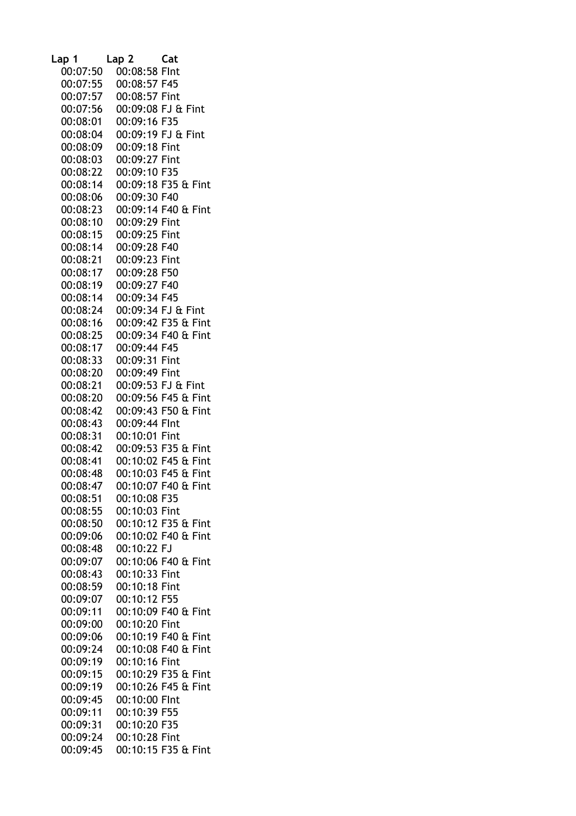| Lap 1    | Lap <sub>2</sub>   | Cat                 |
|----------|--------------------|---------------------|
| 00:07:50 | 00:08:58 Flnt      |                     |
| 00:07:55 | 00:08:57 F45       |                     |
| 00:07:57 | 00:08:57 Fint      |                     |
| 00:07:56 |                    | 00:09:08 FJ & Fint  |
| 00:08:01 | 00:09:16 F35       |                     |
| 00:08:04 | 00:09:19 FJ & Fint |                     |
| 00:08:09 | 00:09:18 Fint      |                     |
| 00:08:03 | 00:09:27 Fint      |                     |
| 00:08:22 | 00:09:10 F35       |                     |
| 00:08:14 |                    | 00:09:18 F35 & Fint |
| 00:08:06 | 00:09:30 F40       |                     |
| 00:08:23 |                    | 00:09:14 F40 & Fint |
| 00:08:10 | 00:09:29 Fint      |                     |
| 00:08:15 | 00:09:25 Fint      |                     |
| 00:08:14 | 00:09:28 F40       |                     |
| 00:08:21 | 00:09:23 Fint      |                     |
| 00:08:17 | 00:09:28 F50       |                     |
| 00:08:19 | 00:09:27 F40       |                     |
| 00:08:14 | 00:09:34 F45       |                     |
| 00:08:24 |                    | 00:09:34 FJ & Fint  |
| 00:08:16 |                    | 00:09:42 F35 & Fint |
| 00:08:25 |                    | 00:09:34 F40 & Fint |
| 00:08:17 | 00:09:44 F45       |                     |
| 00:08:33 | 00:09:31 Fint      |                     |
| 00:08:20 | 00:09:49 Fint      |                     |
| 00:08:21 |                    | 00:09:53 FJ & Fint  |
| 00:08:20 |                    | 00:09:56 F45 & Fint |
| 00:08:42 |                    | 00:09:43 F50 & Fint |
| 00:08:43 | 00:09:44 Flnt      |                     |
| 00:08:31 | 00:10:01 Fint      |                     |
| 00:08:42 |                    | 00:09:53 F35 & Fint |
| 00:08:41 |                    | 00:10:02 F45 & Fint |
| 00:08:48 |                    | 00:10:03 F45 & Fint |
| 00:08:47 |                    | 00:10:07 F40 & Fint |
| 00:08:51 | 00:10:08 F35       |                     |
| 00:08:55 | 00:10:03 Fint      |                     |
| 00:08:50 |                    | 00:10:12 F35 & Fint |
| 00:09:06 |                    | 00:10:02 F40 & Fint |
| 00:08:48 | 00:10:22 FJ        |                     |
| 00:09:07 |                    | 00:10:06 F40 & Fint |
| 00:08:43 | 00:10:33 Fint      |                     |
| 00:08:59 | 00:10:18 Fint      |                     |
| 00:09:07 | 00:10:12 F55       |                     |
| 00:09:11 |                    | 00:10:09 F40 & Fint |
| 00:09:00 | 00:10:20 Fint      |                     |
| 00:09:06 |                    | 00:10:19 F40 & Fint |
| 00:09:24 |                    | 00:10:08 F40 & Fint |
| 00:09:19 | 00:10:16 Fint      |                     |
| 00:09:15 |                    | 00:10:29 F35 & Fint |
| 00:09:19 |                    | 00:10:26 F45 & Fint |
| 00:09:45 | 00:10:00 Flnt      |                     |
| 00:09:11 | 00:10:39 F55       |                     |
| 00:09:31 | 00:10:20 F35       |                     |
| 00:09:24 | 00:10:28 Fint      |                     |
| 00:09:45 |                    | 00:10:15 F35 & Fint |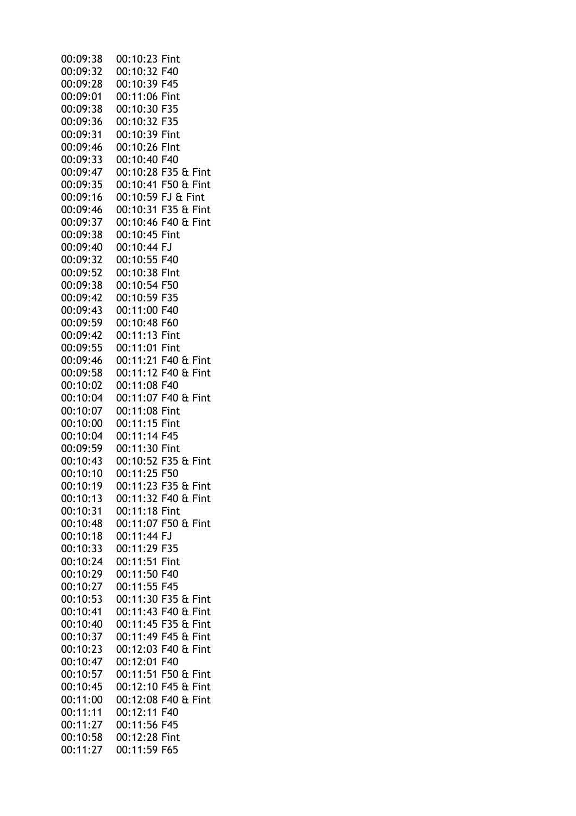| 00:09:38 | 00:10:23 Fint       |
|----------|---------------------|
| 00:09:32 | 00:10:32 F40        |
| 00:09:28 | 00:10:39 F45        |
| 00:09:01 | 00:11:06 Fint       |
|          |                     |
| 00:09:38 | 00:10:30 F35        |
| 00:09:36 | 00:10:32 F35        |
| 00:09:31 | 00:10:39 Fint       |
| 00:09:46 | 00:10:26 Flnt       |
| 00:09:33 | 00:10:40 F40        |
| 00:09:47 | 00:10:28 F35 & Fint |
| 00:09:35 | 00:10:41 F50 & Fint |
| 00:09:16 | 00:10:59 FJ & Fint  |
| 00:09:46 | 00:10:31 F35 & Fint |
| 00:09:37 | 00:10:46 F40 & Fint |
| 00:09:38 | 00:10:45 Fint       |
| 00:09:40 | 00:10:44 FJ         |
| 00:09:32 | 00:10:55 F40        |
|          |                     |
| 00:09:52 | 00:10:38 Flnt       |
| 00:09:38 | 00:10:54 F50        |
| 00:09:42 | 00:10:59 F35        |
| 00:09:43 | 00:11:00 F40        |
| 00:09:59 | 00:10:48 F60        |
| 00:09:42 | 00:11:13 Fint       |
| 00:09:55 | 00:11:01 Fint       |
| 00:09:46 | 00:11:21 F40 & Fint |
| 00:09:58 | 00:11:12 F40 & Fint |
| 00:10:02 | 00:11:08 F40        |
| 00:10:04 | 00:11:07 F40 & Fint |
| 00:10:07 | 00:11:08 Fint       |
| 00:10:00 | 00:11:15 Fint       |
| 00:10:04 | 00:11:14 F45        |
|          |                     |
| 00:09:59 | 00:11:30 Fint       |
| 00:10:43 | 00:10:52 F35 & Fint |
| 00:10:10 | 00:11:25 F50        |
| 00:10:19 | 00:11:23 F35 & Fint |
| 00:10:13 | 00:11:32 F40 & Fint |
| 00:10:31 | 00:11:18 Fint       |
| 00:10:48 | 00:11:07 F50 & Fint |
| 00:10:18 | 00:11:44 FJ         |
| 00:10:33 | 00:11:29 F35        |
| 00:10:24 | 00:11:51 Fint       |
| 00:10:29 | 00:11:50 F40        |
| 00:10:27 | 00:11:55 F45        |
| 00:10:53 | 00:11:30 F35 & Fint |
| 00:10:41 | 00:11:43 F40 & Fint |
|          |                     |
| 00:10:40 | 00:11:45 F35 & Fint |
| 00:10:37 | 00:11:49 F45 & Fint |
| 00:10:23 | 00:12:03 F40 & Fint |
| 00:10:47 | 00:12:01 F40        |
| 00:10:57 | 00:11:51 F50 & Fint |
| 00:10:45 | 00:12:10 F45 & Fint |
| 00:11:00 | 00:12:08 F40 & Fint |
| 00:11:11 | 00:12:11 F40        |
| 00:11:27 | 00:11:56 F45        |
| 00:10:58 | 00:12:28 Fint       |
| 00:11:27 | 00:11:59 F65        |
|          |                     |